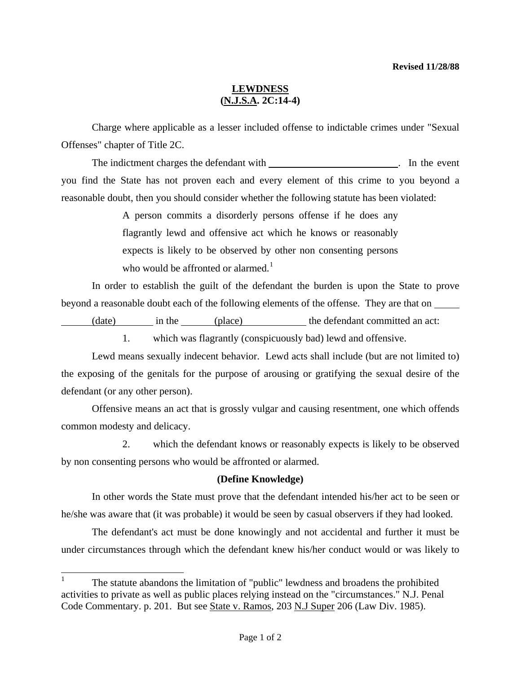## **LEWDNESS (N.J.S.A. 2C:14-4)**

 Charge where applicable as a lesser included offense to indictable crimes under "Sexual Offenses" chapter of Title 2C.

The indictment charges the defendant with the state of the event of the event of the event of the event of the event of the event of the event of the event of the event of the event of the event of the event of the event o you find the State has not proven each and every element of this crime to you beyond a reasonable doubt, then you should consider whether the following statute has been violated:

> A person commits a disorderly persons offense if he does any flagrantly lewd and offensive act which he knows or reasonably expects is likely to be observed by other non consenting persons who would be affronted or alarmed.<sup>[1](#page-0-0)</sup>

In order to establish the guilt of the defendant the burden is upon the State to prove beyond a reasonable doubt each of the following elements of the offense. They are that on

(date) in the (place) the defendant committed an act:

1. which was flagrantly (conspicuously bad) lewd and offensive.

Lewd means sexually indecent behavior. Lewd acts shall include (but are not limited to) the exposing of the genitals for the purpose of arousing or gratifying the sexual desire of the defendant (or any other person).

 Offensive means an act that is grossly vulgar and causing resentment, one which offends common modesty and delicacy.

 2. which the defendant knows or reasonably expects is likely to be observed by non consenting persons who would be affronted or alarmed.

## **(Define Knowledge)**

 In other words the State must prove that the defendant intended his/her act to be seen or he/she was aware that (it was probable) it would be seen by casual observers if they had looked.

 The defendant's act must be done knowingly and not accidental and further it must be under circumstances through which the defendant knew his/her conduct would or was likely to

<span id="page-0-0"></span><sup>|&</sup>lt;br>|<br>| The statute abandons the limitation of "public" lewdness and broadens the prohibited activities to private as well as public places relying instead on the "circumstances." N.J. Penal Code Commentary. p. 201. But see State v. Ramos, 203 N.J Super 206 (Law Div. 1985).